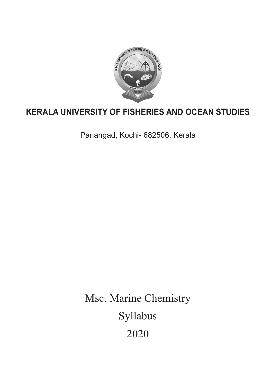

# **KERALA UNIVERSITY OF FISHERIES AND OCEAN STUDIES**

Panangad, Kochi- 682506, Kerala

Msc. Marine Chemistry Syllabus 2020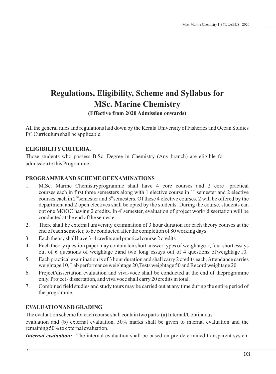# **Regulations, Eligibility, Scheme and Syllabus for MSc. Marine Chemistry**

**(Effective from 2020 Admission onwards)**

All the general rules and regulations laid down by the Kerala University of Fisheries and Ocean Studies PG Curriculum shall be applicable.

## **ELIGIBILITYCRITERIA.**

Those students who possess B.Sc. Degree in Chemistry (Any branch) are eligible for admission to this Programme.

## **PROGRAMME AND SCHEME OFEXAMINATIONS**

- 1. M.Sc. Marine Chemistryprogramme shall have 4 core courses and 2 core practical courses each in first three semesters along with 1 elective course in 1<sup>st</sup> semester and 2 elective courses each in  $2^{nd}$  semester and  $3^{nd}$  semesters. Of these 4 elective courses, 2 will be offered by the department and 2 open electives shall be opted by the students. During the course, students can opt one MOOC having 2 credits. In 4<sup>th</sup> semester, evaluation of project work/ dissertation will be conducted at the end of the semester.
- 2. There shall be external university examination of 3 hour duration for each theory courses at the end of each semester, to be conducted after the completion of 80 working days.
- 3. Each theory shall have 3- 4 credits and practical course 2 credits.
- 4. Each theory question paper may contain ten short answer types of weightage 1, four short essays out of 6 questions of weightage 5and two long essays out of 4 questions of weightage 10.
- 5. Each practical examination is of 3 hour duration and shall carry 2 credits each. Attendance carries weightage 10, Lab performance weightage 20,Tests weightage 50 and Record weightage 20.
- 6. Project/dissertation evaluation and viva-voce shall be conducted at the end of theprogramme only. Project / dissertation, and viva voce shall carry 20 credits in total.
- 7. Combined field studies and study tours may be carried out at any time during the entire period of the programme.

# **EVALUATION AND GRADING**

The evaluation scheme for each course shall contain two parts (a) Internal/Continuous

evaluation and (b) external evaluation. 50% marks shall be given to internal evaluation and the remaining 50% to external evaluation.

*Internal evaluation:* The internal evaluation shall be based on pre-determined transparent system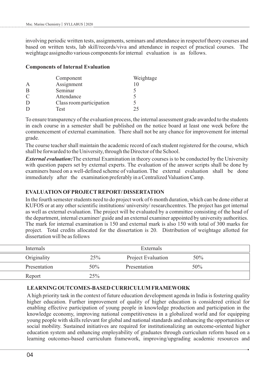involving periodic written tests, assignments, seminars and attendance in respectof theory courses and based on written tests, lab skill/records/viva and attendance in respect of practical courses. The weightage assignedto various components for internal evaluation is as follows.

#### **Components of Internal Evaluation**

|               | Component                | Weightage |
|---------------|--------------------------|-----------|
| A             | Assignment               | 10        |
| B             | Seminar                  |           |
| $\mathcal{C}$ | Attendance               |           |
|               | Class room participation |           |
|               | Test                     | 25        |

To ensure transparency of the evaluation process, the internal assessment grade awarded to the students in each course in a semester shall be published on the notice board at least one week before the commencement of external examination. There shall not be any chance for improvement for internal grade.

The course teacher shall maintain the academic record of each student registered for the course, which shall be forwarded to the University, through the Director of the School.

*External evaluation:*The external Examination in theory courses is to be conducted by the University with question papers set by external experts. The evaluation of the answer scripts shall be done by examiners based on a well-defined scheme of valuation. The external evaluation shall be done immediately after the examination preferably in a Centralized Valuation Camp.

### **EVALUATION OFPROJECTREPORT/ DISSERTATION**

In the fourth semester students need to do project work of 6 month duration, which can be done either at KUFOS or at any other scientific institutions/ university/ researchcentres. The project has got internal as well as external evaluation. The project will be evaluated by a committee consisting of the head of the department, internal examiner/ guide and an external examiner appointed by university authorities. The mark for internal examination is 150 and external mark is also 150 with total of 300 marks for project. Total credits allocated for the dissertation is 20. Distribution of weightage allotted for dissertation will be as follows

| Internals    |        | Externals                 |     |  |
|--------------|--------|---------------------------|-----|--|
| Originality  | 25%    | <b>Project Evaluation</b> | 50% |  |
| Presentation | $50\%$ | Presentation              | 50% |  |
| Report       | 25%    |                           |     |  |

#### **LEARNING OUTCOMES-BASED CURRICULUM FRAMEWORK**

Ahigh priority task in the context of future education development agenda in India is fostering quality higher education. Further improvement of quality of higher education is considered critical for enabling effective participation of young people in knowledge production and participation in the knowledge economy, improving national competitiveness in a globalized world and for equipping young people with skills relevant for global and national standards and enhancing the opportunities or social mobility. Sustained initiatives are required for institutionalizing an outcome-oriented higher education system and enhancing employability of graduates through curriculum reform based on a learning outcomes-based curriculum framework, improving/upgrading academic resources and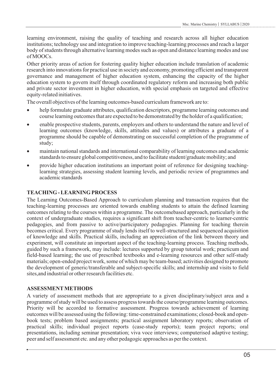learning environment, raising the quality of teaching and research across all higher education institutions; technology use and integration to improve teaching-learning processes and reach a larger body of students through alternative learning modes such as open and distance learning modes and use of MOOCs.

Other priority areas of action for fostering quality higher education include translation of academic research into innovations for practical use in society and economy, promoting efficient and transparent governance and management of higher education system, enhancing the capacity of the higher education system to govern itself through coordinated regulatory reform and increasing both public and private sector investment in higher education, with special emphasis on targeted and effective equity-related initiatives.

The overall objectives of the learning outcomes-based curriculum framework are to:

- · help formulate graduate attributes, qualification descriptors, programme learning outcomes and course learning outcomes that are expected to be demonstrated by the holder of a qualification;
- enable prospective students, parents, employers and others to understand the nature and level of learning outcomes (knowledge, skills, attitudes and values) or attributes a graduate of a programme should be capable of demonstrating on successful completion of the programme of study;
- · maintain national standards and international comparability of learning outcomes and academic standards to ensure global competitiveness, and to facilitate student/graduate mobility; and
- provide higher education institutions an important point of reference for designing teachinglearning strategies, assessing student learning levels, and periodic review of programmes and academic standards

### **TEACHING - LEARNING PROCESS**

The Learning Outcomes-Based Approach to curriculum planning and transaction requires that the teaching-learning processes are oriented towards enabling students to attain the defined learning outcomes relating to the courses within a programme. The outcomebased approach, particularly in the context of undergraduate studies, requires a significant shift from teacher-centric to learner-centric pedagogies, and from passive to active/participatory pedagogies. Planning for teaching therein becomes critical. Every programme of study lends itself to well-structured and sequenced acquisition of knowledge and skills. Practical skills, including an appreciation of the link between theory and experiment, will constitute an important aspect of the teaching-learning process. Teaching methods, guided by such a framework, may include: lectures supported by group tutorial work; practicum and field-based learning; the use of prescribed textbooks and e-learning resources and other self-study materials; open-ended project work, some of which may be team-based; activities designed to promote the development of generic/transferable and subject-specific skills; and internship and visits to field sites,and industrial or other research facilities etc.

### **ASSESSMENTMETHODS**

A variety of assessment methods that are appropriate to a given disciplinary/subject area and a programme of study will be used to assess progress towards the course/programme learning outcomes. Priority will be accorded to formative assessment. Progress towards achievement of learning outcomes will be assessed using the following: time-constrained examinations; closed-book and openbook tests; problem based assignments; practical assignment laboratory reports; observation of practical skills; individual project reports (case-study reports); team project reports; oral presentations, including seminar presentation; viva voce interviews; computerised adaptive testing; peer and self assessment etc. and any other pedagogic approaches as per the context.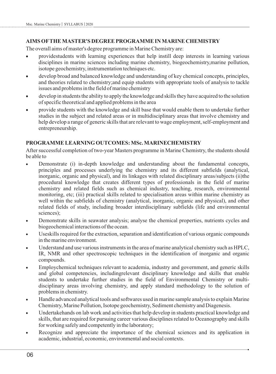#### **AIMS OFTHE MASTER'S DEGREE PROGRAMME IN MARINE CHEMISTRY**

The overall aims of master's degree programme in Marine Chemistry are:

- · providestudents with learning experiences that help instill deep interests in learning various disciplines in marine sciences including marine chemistry, biogeochemistry,marine pollution, isotope geochemistry, instrumentation techniques etc.
- develop broad and balanced knowledge and understanding of key chemical concepts, principles, and theories related to chemistry;and equip students with appropriate tools of analysis to tackle issues and problems in the field of marine chemistry
- develop in students the ability to apply the knowledge and skills they have acquired to the solution of specific theoretical and applied problems in the area
- · provide students with the knowledge and skill base that would enable them to undertake further studies in the subject and related areas or in multidisciplinary areas that involve chemistry and help develop a range of generic skills that are relevant to wage employment, self-employment and entrepreneurship.

#### **PROGRAMME LEARNING OUTCOMES: MSc. MARINECHEMISTRY**

After successful completion of two-year Masters programme in Marine Chemistry, the students should be able to

- Demonstrate (i) in-depth knowledge and understanding about the fundamental concepts, principles and processes underlying the chemistry and its different subfields (analytical, inorganic, organic and physical), and its linkages with related disciplinary areas/subjects (ii)the procedural knowledge that creates different types of professionals in the field of marine chemistry and related fields such as chemical industry, teaching, research, environmental monitoring, etc; (iii) practical skills related to specialisation areas within marine chemistry as well within the subfields of chemistry (analytical, inorganic, organic and physical), and other related fields of study, including broader interdisciplinary subfields (life and environmental sciences);
- · Demonstrate skills in seawater analysis; analyse the chemical properties, nutrients cycles and biogeochemical interactions of the ocean.
- Useskills required for the extraction, separation and identification of various organic compounds in the marine environment.
- Understand and use various instruments in the area of marine analytical chemistry such as HPLC, IR, NMR and other spectroscopic techniques in the identification of inorganic and organic compounds.
- Employchemical techniques relevant to academia, industry and government, and generic skills and global competencies, includingrelevant disciplinary knowledge and skills that enable students to undertake further studies in the field of Environmental Chemistry or multidisciplinary areas involving chemistry, and apply standard methodology to the solution of problems in chemistry.
- · Handle advanced analytical tools and softwares used in marine sample analysis to explain Marine Chemistry, Marine Pollution, Isotope geochemistry, Sediment chemistry and Diagenesis.
- · Undertakehands on lab work and activities that help develop in students practical knowledge and skills, that are required for pursuing career various disciplines related to Oceanography and skills for working safely and competently in the laboratory;
- Recognize and appreciate the importance of the chemical sciences and its application in academic, industrial, economic, environmental and social contexts.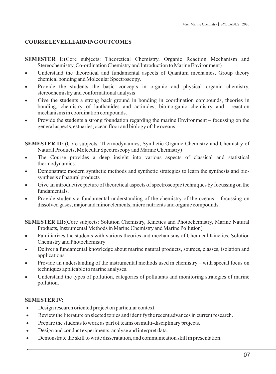# **COURSE LEVELLEARNING OUTCOMES**

- **SEMESTER I:**(Core subjects: Theoretical Chemistry, Organic Reaction Mechanism and Stereochemistry, Co-ordination Chemistry and Introduction to Marine Environment)
- · Understand the theoretical and fundamental aspects of Quantum mechanics, Group theory chemical bonding and Molecular Spectroscopy.
- Provide the students the basic concepts in organic and physical organic chemistry, stereochemistry and conformational analysis
- Give the students a strong back ground in bonding in coordination compounds, theories in bonding, chemistry of lanthanides and actinides, bioinorganic chemistry and reaction mechanisms in coordination compounds.
- Provide the students a strong foundation regarding the marine Environment focussing on the general aspects, estuaries, ocean floor and biology of the oceans.

**SEMESTER II:** (Core subjects: Thermodynamics, Synthetic Organic Chemistry and Chemistry of Natural Products, Molecular Spectroscopy and Marine Chemistry)

- The Course provides a deep insight into various aspects of classical and statistical thermodynamics.
- Demonstrate modern synthetic methods and synthetic strategies to learn the synthesis and biosynthesis of natural products
- Give an introductive picture of theoretical aspects of spectroscopic techniques by focussing on the fundamentals.
- Provide students a fundamental understanding of the chemistry of the oceans focussing on dissolved gases, major and minor elements, micro nutrients and organic compounds.

**SEMESTER III:**(Core subjects: Solution Chemistry, Kinetics and Photochemistry, Marine Natural Products, Instrumental Methods in Marine Chemistry and Marine Pollution)

- Familiarizes the students with various theories and mechanisms of Chemical Kinetics, Solution Chemistry and Photochemistry
- · Deliver a fundamental knowledge about marine natural products, sources, classes, isolation and applications.
- · Provide an understanding of the instrumental methods used in chemistry with special focus on techniques applicable to marine analyses.
- Understand the types of pollution, categories of pollutants and monitoring strategies of marine pollution.

# **SEMESTER IV:**

- · Design research oriented project on particular context.
- · Review the literature on slected topics and identify the recent advances in current research.
- · Prepare the students to work as part of teams on multi-disciplinary projects.
- · Design and conduct experiments, analyse and interpret data.
- · Demonstrate the skill to write disseratation, and communication skill in presentation.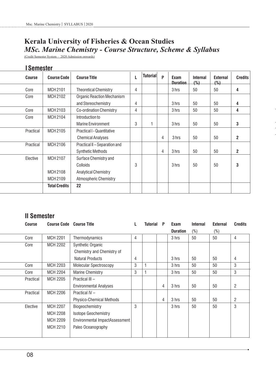# **Kerala University of Fisheries & Ocean Studies** *MSc. Marine Chemistry - Course Structure, Scheme & Syllabus*

(Credit Semester System – 2020 Admission onwards)

# **I Semester**

| <b>Course</b> | <b>Course Code</b>   | <b>Course Title</b>               | L | <b>Tutorial</b> | P | Exam<br><b>Duration</b> | <b>Internal</b><br>(% ) | <b>External</b><br>(%) | <b>Credits</b> |
|---------------|----------------------|-----------------------------------|---|-----------------|---|-------------------------|-------------------------|------------------------|----------------|
| Core          | MCH 2101             | <b>Theoretical Chemistry</b>      | 4 |                 |   | 3 hrs                   | 50                      | 50                     | 4              |
| Core          | MCH 2102             | <b>Organic Reaction Mechanism</b> |   |                 |   |                         |                         |                        |                |
|               |                      | and Stereochemistry               | 4 |                 |   | 3 hrs                   | 50                      | 50                     | 4              |
| Core          | MCH 2103             | <b>Co-ordination Chemistry</b>    | 4 |                 |   | 3 hrs                   | 50                      | 50                     | 4              |
| Core          | MCH 2104             | Introduction to                   |   |                 |   |                         |                         |                        |                |
|               |                      | <b>Marine Environment</b>         | 3 |                 |   | 3 hrs                   | 50                      | 50                     | $\mathbf 3$    |
| Practical     | MCH 2105             | <b>Practical I - Quantitative</b> |   |                 |   |                         |                         |                        |                |
|               |                      | <b>Chemical Analyses</b>          |   |                 | 4 | 3 hrs                   | 50                      | 50                     | $\overline{2}$ |
| Practical     | MCH 2106             | Practical II - Separation and     |   |                 |   |                         |                         |                        |                |
|               |                      | <b>Synthetic Methods</b>          |   |                 | 4 | 3 hrs                   | 50                      | 50                     | $\overline{2}$ |
| Elective      | MCH 2107             | Surface Chemistry and             |   |                 |   |                         |                         |                        |                |
|               |                      | Colloids                          | 3 |                 |   | 3 hrs                   | 50                      | 50                     | 3              |
|               | MCH 2108             | <b>Analytical Chemistry</b>       |   |                 |   |                         |                         |                        |                |
|               | MCH 2109             | <b>Atmospheric Chemistry</b>      |   |                 |   |                         |                         |                        |                |
|               | <b>Total Credits</b> | 22                                |   |                 |   |                         |                         |                        |                |

# **II Semester**

| <b>Course</b> | <b>Course Code Course Title</b> |                                |   | <b>Tutorial</b> | P | Exam            | <b>Internal</b> | <b>External</b> | <b>Credits</b> |
|---------------|---------------------------------|--------------------------------|---|-----------------|---|-----------------|-----------------|-----------------|----------------|
|               |                                 |                                |   |                 |   | <b>Duration</b> | $(\%)$          | (%)             |                |
| Core          | <b>MCH 2201</b>                 | Thermodynamics                 | 4 |                 |   | 3 hrs           | 50              | 50              | 4              |
| Core          | <b>MCH 2202</b>                 | Synthetic Organic              |   |                 |   |                 |                 |                 |                |
|               |                                 | Chemistry and Chemistry of     |   |                 |   |                 |                 |                 |                |
|               |                                 | <b>Natural Products</b>        | 4 |                 |   | 3 hrs           | 50              | 50              | 4              |
| Core          | <b>MCH 2203</b>                 | <b>Molecular Spectroscopy</b>  | 3 |                 |   | 3 hrs           | 50              | 50              | 3              |
| Core          | <b>MCH 2204</b>                 | <b>Marine Chemistry</b>        | 3 |                 |   | 3 hrs           | 50              | 50              | 3              |
| Practical     | <b>MCH 2205</b>                 | Practical III -                |   |                 |   |                 |                 |                 |                |
|               |                                 | <b>Environmental Analyses</b>  |   |                 | 4 | 3 hrs           | 50              | 50              | 2              |
| Practical     | <b>MCH 2206</b>                 | Practical IV -                 |   |                 |   |                 |                 |                 |                |
|               |                                 | Physico-Chemical Methods       |   |                 | 4 | 3 hrs           | 50              | 50              | 2              |
| Elective      | <b>MCH 2207</b>                 | Biogeochemistry                | 3 |                 |   | 3 hrs           | 50              | 50              | 3              |
|               | <b>MCH 2208</b>                 | <b>Isotope Geochemistry</b>    |   |                 |   |                 |                 |                 |                |
|               | MCH 2209                        | Environmental ImpactAssessment |   |                 |   |                 |                 |                 |                |
|               | <b>MCH 2210</b>                 | Paleo Oceanography             |   |                 |   |                 |                 |                 |                |
|               |                                 |                                |   |                 |   |                 |                 |                 |                |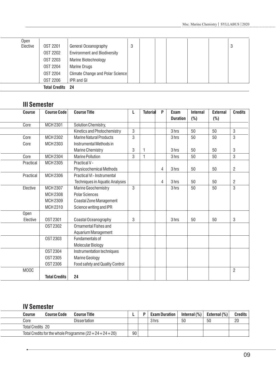|          | <b>Total Credits</b> | -24                                 |   |  |  |   |
|----------|----------------------|-------------------------------------|---|--|--|---|
|          | <b>OST 2206</b>      | IPR and GI                          |   |  |  |   |
|          | <b>OST 2204</b>      | Climate Change and Polar Science    |   |  |  |   |
|          | <b>OST 2204</b>      | <b>Marine Drugs</b>                 |   |  |  |   |
|          | <b>OST 2203</b>      | Marine Biotechnology                |   |  |  |   |
|          | <b>OST 2202</b>      | <b>Environment and Biodiversity</b> |   |  |  |   |
| Elective | <b>OST 2201</b>      | General Oceanography                | 3 |  |  | 3 |
| Open     |                      |                                     |   |  |  |   |

# **III Semester**

l

| <b>Course</b> | <b>Course Code</b>   | <b>Course Title</b>                   | L              | <b>Tutorial</b> | P              | Exam            | <b>Internal</b> | <b>External</b> | <b>Credits</b> |
|---------------|----------------------|---------------------------------------|----------------|-----------------|----------------|-----------------|-----------------|-----------------|----------------|
|               |                      |                                       |                |                 |                | <b>Duration</b> | (%)             | (%)             |                |
| Core          | MCH 2301             | Solution Chemistry,                   |                |                 |                |                 |                 |                 |                |
|               |                      | Kinetics and Photochemistry           | 3              |                 |                | 3 hrs           | 50              | 50              | 3              |
| Core          | MCH 2302             | <b>Marine Natural Products</b>        | 3              |                 |                | 3 hrs           | 50              | 50              | $\mathbf{3}$   |
| Core          | MCH 2303             | Instrumental Methods in               |                |                 |                |                 |                 |                 |                |
|               |                      | <b>Marine Chemistry</b>               | 3              | 1               |                | 3 hrs           | 50              | 50              | 3              |
| Core          | MCH 2304             | <b>Marine Pollution</b>               | 3              | $\mathbf{1}$    |                | 3 hrs           | 50              | 50              | 3              |
| Practical     | MCH 2305             | Practical V -                         |                |                 |                |                 |                 |                 |                |
|               |                      | <b>Physicochemical Methods</b>        |                |                 | $\overline{4}$ | 3 hrs           | 50              | 50              | $\overline{2}$ |
| Practical     | MCH 2306             | Practical VI - Instrumental           |                |                 |                |                 |                 |                 |                |
|               |                      | <b>Techniques in Aquatic Analyses</b> |                |                 | $\overline{4}$ | 3 hrs           | 50              | 50              | $\overline{c}$ |
| Elective      | MCH 2307             | Marine Geochemistry                   | $\overline{3}$ |                 |                | 3 hrs           | 50              | 50              | 3              |
|               | <b>MCH 2308</b>      | <b>Polar Sciences</b>                 |                |                 |                |                 |                 |                 |                |
|               | MCH 2309             | <b>Coastal Zone Management</b>        |                |                 |                |                 |                 |                 |                |
|               | MCH 2310             | Science writing and IPR               |                |                 |                |                 |                 |                 |                |
| Open          |                      |                                       |                |                 |                |                 |                 |                 |                |
| Elective      | <b>OST 2301</b>      | Coastal Oceanography                  | 3              |                 |                | 3 hrs           | 50              | 50              | 3              |
|               | <b>OST 2302</b>      | Ornamental Fishes and                 |                |                 |                |                 |                 |                 |                |
|               |                      | Aquarium Management                   |                |                 |                |                 |                 |                 |                |
|               | <b>OST 2303</b>      | Fundamentals of                       |                |                 |                |                 |                 |                 |                |
|               |                      | Molecular Biology                     |                |                 |                |                 |                 |                 |                |
|               | <b>OST 2304</b>      | Instrumentation techniques            |                |                 |                |                 |                 |                 |                |
|               | <b>OST 2305</b>      | <b>Marine Geology</b>                 |                |                 |                |                 |                 |                 |                |
|               | <b>0ST 2306</b>      | Food safety and Quality Control       |                |                 |                |                 |                 |                 |                |
| MOOC          |                      |                                       |                |                 |                |                 |                 |                 | $\overline{2}$ |
|               | <b>Total Credits</b> | 24                                    |                |                 |                |                 |                 |                 |                |

# **IV Semester**

l.

| <b>Course</b>    | <b>Course Code</b> | <b>Course Title</b>                                   |    | <b>Exam Duration</b> | Internal $(\%)$ | External $(\%)$ | Credits |
|------------------|--------------------|-------------------------------------------------------|----|----------------------|-----------------|-----------------|---------|
| Core             |                    | Dissertation                                          |    | 3 hrs                | 50              | 50              | 20      |
| Total Credits 20 |                    |                                                       |    |                      |                 |                 |         |
|                  |                    | Total Credits for the whole Programme $(22+24+24+20)$ | 90 |                      |                 |                 |         |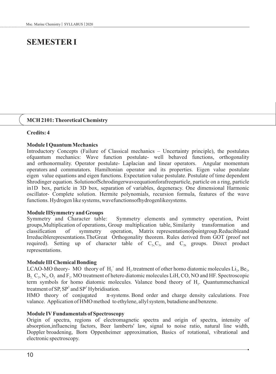# **SEMESTER I**

#### **MCH 2101: Theoretical Chemistry**

#### **Credits: 4**

#### **Module I Quantum Mechanics**

Introductory Concepts (Failure of Classical mechanics – Uncertainty principle), the postulates ofquantum mechanics: Wave function postulate- well behaved functions, orthogonality and orthonormality. Operator postulate- Laplacian and linear operators. Angular momentum operators and commutators. Hamiltonian operator and its properties. Eigen value postulate eigen value equations and eigen functions. Expectation value postulate. Postulate of time dependent Shrodinger equation. SolutionofSchrodingerwaveequationforafreeparticle, particle on a ring, particle in1D box, particle in 3D box, separation of variables, degeneracy. One dimensional Harmonic oscillator- Complete solution. Hermite polynomials, recursion formula, features of the wave functions. Hydrogen like systems, wavefunctionsofhydrogenlikesystems.

#### **Module IISymmetry and Groups**

Symmetry and Character table: Symmetry elements and symmetry operation, Point groups,Multiplication of operations, Group multiplication table, Similarity transformation and classification of symmetry operation, Matrix representationofpointgroup.Reducibleand Irreduciblerepresentations.TheGreat Orthogonality theorem. Rules derived from GOT (proof not required). Setting up of character table of  $C_{2v}C_{3v}$  and  $C_{2h}$  groups. Direct product representations.

#### **Module III Chemical Bonding**

LCAO-MO theory- MO theory of  $H_2^+$  and  $H_2$  treatment of other homo diatomic molecules Li<sub>2</sub>, Be<sub>2</sub>,  $B, C, N, O$ , and  $F<sub>2</sub>$ . MO treatment of hetero diatomic molecules LiH, CO, NO and HF. Spectroscopic term symbols for homo diatomic molecules. Valance bond theory of H<sub>2</sub>. Quantummechanical treatment of SP,  $SP^2$  and  $SP^3$  Hybridisation.<br>HMO theory of conjugated  $\pi$ -syste

 $\pi$ -systems. Bond order and charge density calculations. Free valance. Application of HMO method to ethylene, allyl system, butadiene and benzene.

#### **Module IVFundamentals of Spectroscopy**

Origin of spectra, regions of electromagnetic spectra and origin of spectra, intensity of absorption,influencing factors, Beer lamberts' law, signal to noise ratio, natural line width, Doppler broadening, Born Oppenheimer approximation, Basics of rotational, vibrational and electronic spectroscopy.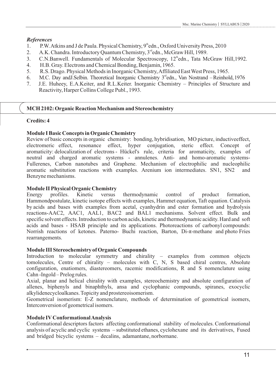#### *References*

- 1. P.W. Atkins and J de Paula. Physical Chemistry,  $9^{\text{th}}$ edn., Oxford University Press, 2010
- 2. A.K. Chandra. Introductory Quantum Chemistry,  $3<sup>rd</sup>$ edn., McGraw Hill, 1989.
- 3. C.N.Banwell. Fundamentals of Molecular Spectroscopy, 12<sup>th</sup>edn., Tata McGraw Hill,1992.
- 4. H.B. Gray. Electrons and Chemical Bonding, Benjamin, 1965.
- 5. R.S. Drago. Physical Methods in Inorganic Chemistry, Affiliated East West Press, 1965.
- 6. M.C. Day and J. Selbin. Theoretical Inorganic Chemistry 3<sup>rd</sup>edn., Van Nostrand Reinhold, 1976
- 7. J.E. Huheey, E.A.Keiter, and R.L.Keiter. Inorganic Chemistry Principles of Structure and Reactivity, Harper Collins College Publ., 1993.

### **MCH 2102: Organic Reaction Mechanism and Stereochemistry**

#### **Credits: 4**

#### **Module I Basic Concepts in Organic Chemistry**

Review of basic concepts in organic chemistry: bonding, hybridisation, MO picture, inductiveeffect, electromeric effect, resonance effect, hyper conjugation, steric effect. Concept of aromaticity: delocalization of electrons - Hückel's rule, criteria for aromaticity, examples of neutral and charged aromatic systems - annulenes. Anti- and homo-aromatic systems-Fullerenes, Carbon nanotubes and Graphene. Mechanism of electrophilic and nucleophilic aromatic substitution reactions with examples. Arenium ion intermediates. SN1, SN2 and Benzyne mechanisms.

#### **Module II Physical Organic Chemistry**

Energy profiles. Kinetic versus thermodynamic control of product formation, Hammondpostulate, kinetic isotope effects with examples, Hammet equation, Taft equation. Catalysis by acids and bases with examples from acetal, cyanhydrin and ester formation and hydrolysis reactions-AAC2, AAC1, AAL1, BAC2 and BAL1 mechanisms. Solvent effect. Bulk and specific solvent effects. Introduction to carbon acids, kinetic and thermodynamic acidity. Hard and soft acids and bases - HSAB principle and its applications. Photoreactions of carbonyl compounds: Norrish reactions of ketones. Paterno- Buchi reaction, Barton, Di-π-methane and photo Fries rearrangements.

#### **Module III Stereochemistry of Organic Compounds**

Introduction to molecular symmetry and chirality – examples from common objects tomolecules, Centre of chirality – molecules with C, N, S based chiral centres, Absolute configuration, enatiomers, diastereomers, racemic modifications, R and S nomenclature using Cahn -Ingold – Prelog rules.

Axial, planar and helical chirality with examples, stereochemistry and absolute configuration of allenes, biphenyls and binaphthyls, ansa and cyclophanic compounds, spiranes, exocyclic alkylidenecycloalkanes. Topicity and prostereoisomerism.

Geometrical isomerism: E-Z nomenclature, methods of determination of geometrical isomers, Interconversion of geometrical isomers.

### **Module IVConformational Analysis**

Conformational descriptors factors affecting conformational stability of molecules. Conformational analysis of acyclic and cyclic systems – substituted ethanes, cyclohexane and its derivatives, Fused and bridged bicyclic systems – decalins, adamantane, norbornane.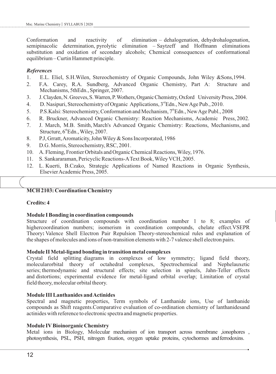Conformation and reactivity of elimination – dehalogenation, dehydrohalogenation, semipinacolic determination, pyrolytic elimination – Saytzeff and Hoffmann eliminations substitution and oxidation of secondary alcohols; Chemical consequences of conformational equilibrium – Curtin Hammett principle.

#### *References*

- 1. E.L. Eliel, S.H.Wilen, Stereochemistry of Organic Compounds, John Wiley &Sons,1994.
- 2. F.A. Carey, R.A. Sundberg, Advanced Organic Chemistry, Part A: Structure and Mechanisms, 5thEdn., Springer, 2007.
- 3. J.Clayden,N.Greeves,S.Warren,P.Wothers,OrganicChemistry,Oxford UniversityPress,2004.
- 4. D. Nasipuri, Stereochemistry of Organic Applications, 3<sup>rd</sup>Edn., New Age Pub., 2010.
- 5. P.S.Kalsi: Stereochemistry, Conformation and Mechanism, 7<sup>th</sup>Edn., New Age Publ., 2008
- 6. R. Bruckner, Advanced Organic Chemistry: Reaction Mechanisms, Academic Press, 2002.
- 7. J. March, M.B. Smith, March's Advanced Organic Chemistry: Reactions, Mechanisms, and Structure,  $6^{\text{th}}$ Edn., Wiley, 2007.
- 8. P.J, Grratt, Aromaticity, John Wiley & Sons Incorporated, 1986
- 9. D.G. Morris, Stereochemistry, RSC, 2001.
- 10. A. Fleming, Frontier Orbitals and Organic Chemical Reactions, Wiley, 1976.
- 11. S. Sankararaman, Pericyclic Reactions-AText Book, Wiley VCH, 2005.
- 12. L. Kuerti, B.Czako, Strategic Applications of Named Reactions in Organic Synthesis, Elsevier Academic Press, 2005.

#### **MCH 2103: Coordination Chemistry**

#### **Credits: 4**

#### **Module I Bonding in coordination compounds**

Structure of coordination compounds with coordination number 1 to 8; examples of highercoordination numbers; isomerism in coordination compounds, chelate effect.VSEPR Theory**:** Valence Shell Electron Pair Repulsion Theory-stereochemical rules and explanation of the shapes of molecules and ions of non-transition elements with 2-7 valence shell electron pairs.

#### **Module II Metal-ligand bonding in transition metal complexes**

Crystal field splitting diagrams in complexes of low symmetry; ligand field theory, molecularorbital theory of octahedral complexes, Spectrochemical and Nephelauxetic series; thermodynamic and structural effects; site selection in spinels, Jahn-Teller effects and distortions; experimental evidence for metal-ligand orbital overlap; Limitation of crystal field theory, molecular orbital theory.

#### **Module III Lanthanides and Actinides**

Spectral and magnetic properties, Term symbols of Lanthanide ions, Use of lanthanide compounds as Shift reagents.Comparative evaluation of co-ordination chemistry of lanthanidesand actinides with reference to electronic spectra and magnetic properties.

#### **Module IVBioinorganic Chemistry**

Metal ions in Biology, Molecular mechanism of ion transport across membrane ,ionophores , photosynthesis, PSL, PSH, nitrogen fixation, oxygen uptake proteins, cytochormes andferrodoxins.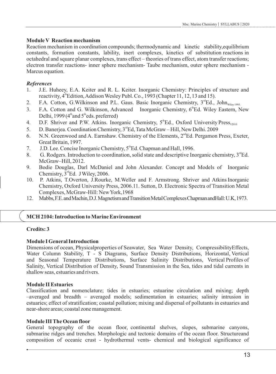#### **Module V Reaction mechanism**

Reaction mechanism in coordination compounds; thermodynamic and kinetic stability,equilibrium constants, formation constants, lability, inert complexes, kinetics of substitution reactions in octahedral and square planar complexes, trans effect – theories of trans effect, atom transfer reactions; electron transfer reactions- inner sphere mechanism- Taube mechanism, outer sphere mechanism - Marcus equation.

### *References*

- 1. J.E. Huheey, E.A. Keiter and R. L. Keiter. Inorganic Chemistry: Principles of structure and reactivity, 4<sup>th</sup> Edition, Addison Wesley Publ. Co., 1993 (Chapter 11, 12, 13 and 15).
- 2. F.A. Cotton, G.Wilkinson and P.L. Gaus. Basic Inorganic Chemistry,  $3<sup>rd</sup>Ed.$ , John $_{\text{Wilev1995}}$
- 3. F.A. Cotton and G. Wilkinson, Advanced Inorganic Chemistry,  $6^{\text{th}}Ed$ . Wiley Eastern, New Delhi, 1999 ( $4^{\text{th}}$  and  $5^{\text{th}}$ eds. preferred)
- 4. D.F. Shriver and P.W. Atkins. Inorganic Chemistry,  $5^{\text{th}}Ed$ , Oxford University Press,<sub>2010</sub>
- 5. D. Banerjea. Coordination Chemistry,  $3<sup>rd</sup>Ed$ , Tata McGraw Hill, New Delhi. 2009
- 6. N.N. Greenwood and A. Earnshaw. Chemistry of the Elements, 2<sup>nd</sup>Ed. Pergamon Press, Exeter, Great Britain, 1997.
- 7. J.D. Lee. Concise Inorganic Chemistry,  $5^{\text{th}}$ Ed. Chapman and Hall, 1996.
- 8. G. Rodgers. Introduction to coordination, solid state and descriptive Inorganic chemistry,  $3<sup>rd</sup>Ed$ . McGraw–Hill, 2012.
- 9. Bodie Douglas, Darl McDaniel and John Alexander. Concept and Models of Inorganic Chemistry,  $3<sup>rd</sup>Ed.$  J Wiley, 2006.
- 10. P. Atkins, T.Overton, J.Rourke, M.Weller and F. Armstrong. Shriver and Atkins Inorganic Chemistry, Oxford University Press, 2006.11. Sutton, D. Electronic Spectra of Transition Metal Complexes, McGraw-Hill: New York,1968
- 12. Mabbs,F.E.andMachin,D.J.MagnetismandTransitionMetalComplexesChapmanandHall:U.K,1973.

### **MCH 2104: Introduction to Marine Environment**

### **Credits: 3**

### **Module I General Introduction**

Dimensions of ocean, Physicalproperties of Seawater, Sea Water Density, CompressibilityEffects, Water Column Stability, T - S Diagrams, Surface Density Distributions, Horizontal, Vertical and Seasonal Temperature Distributions, Surface Salinity Distributions, Vertical Profiles of Salinity, Vertical Distribution of Density, Sound Transmission in the Sea, tides and tidal currents in shallow seas, estuaries and rivers.

### **Module II Estuaries**

Classification and nomenclature; tides in estuaries; estuarine circulation and mixing; depth –averaged and breadth – averaged models; sedimentation in estuaries; salinity intrusion in estuaries; effect of stratification; coastal pollution; mixing and dispersal of pollutants in estuaries and near-shore areas; coastal zone management.

#### **Module III The Ocean floor**

General topography of the ocean floor, continental shelves, slopes, submarine canyons, submarine ridges and trenches. Morphologic and tectonic domains of the ocean floor. Structureand composition of oceanic crust - hydrothermal vents- chemical and biological significance of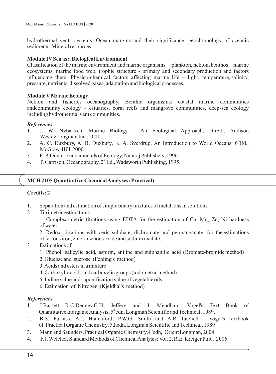hydrothermal vents systems. Ocean margins and their significance; geochronology of oceanic sediments, Mineral resources.

#### **Module IVSea as a Biological Environment**

Classification of the marine environment and marine organisms – plankton, nekton, benthos –marine ecosystems, marine food web, trophic structure - primary and secondary production and factors influencing them. Physico-chemical factors affecting marine life – light, temperature, salinity, pressure, nutrients, dissolved gases; adaptation and biological processes.

#### **Module VMarine Ecology**

Nekton and fisheries oceanography, Benthic organisms; coastal marine communities andcommunity ecology – estuaries, coral reefs and mangrove communities, deep-sea ecology including hydrothermal vent communities.

#### *References*

- 1. J. W. Nybakken, Marine Biology An Ecological Approach, 5thEd., Addison WesleyLongman Inc., 2001.
- 2. A. C. Duxbury, A. B. Duxbury, K. A. Sverdrup, An Introduction to World Oceans,  $6^{\text{th}}Ed$ . McGraw-Hill, 2000.
- 3. E.P. Odum, Fundamentals of Ecology, Nataraj Publishers, 1996.
- 4. T. Garrison, Oceanography, 2<sup>nd</sup>Ed., Wadsworth Publishing, 1995.

#### **MCH 2105 Quantitative Chemical Analyses (Practical)**

#### **Credits: 2**

- 1. Separation and estimation of simple binary mixtures of metal ions in solutions
- 2. Titrimetric estimations:

1. Complexometric titrations using EDTA for the estimation of Ca, Mg, Zn, Ni, hardness of water.

2. Redox titrations with ceric sulphate, dichromate and permanganate for the estimations of ferrous iron, zinc, arsenous oxide and sodium oxalate.

- 3. Estimations of
	- 1. Phenol, salicylic acid, aspirin, aniline and sulphanilic acid (Bromate-bromide method)
	- 2. Glucose and sucrose (Fehling's method)
	- 3. Acids and esters in a mixture
	- 4. Carboxylic acids and carboxylic groups (iodometric method)
	- 5. Iodine value and saponification value of vegetable oils
	- 6. Estimation of Nitrogen (Kjeldhal's method)

- 1. J.Bassett, R.C.Denney,G.H. Jeffery and J. Mendham. Vogel's Text Book of Quantitative Inorganic Analysis,  $5<sup>th</sup>$ edn. Longman Scientific and Technical, 1989.
- 2. B.S. Furniss, A.J. Hannaford, P.W.G. Smith and A.R Tatchell. Vogel's textbook of Practical Organic Chemistry, 5thedn, Longman Scientific and Technical, 1989
- 3. Mann and Saunders. Practical Organic Chemistry, 4 the dn, Orient Longman, 2004.
- 4. F.J. Welcher, Standard Methods of Chemical Analysis: Vol. 2, R.E. Kreiger Pub., 2006.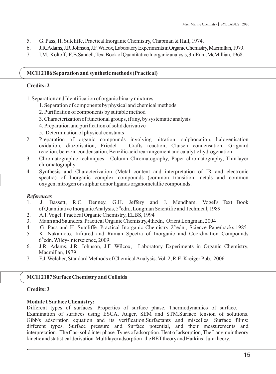- 5. G. Pass, H. Sutcliffe, Practical Inorganic Chemistry, Chapman & Hall, 1974.
- 6. J.R.Adams,J.R.Johnson,J.F.Wilcox,LaboratoryExperimentsinOrganicChemistry,Macmillan,1979.
- 7. I.M. Koltoff, E.B.Sandell,TextBookofQuantitativeInorganicanalysis,3rdEdn.,McMillian,1968.

#### **MCH 2106 Separation and synthetic methods (Practical)**

### **Credits: 2**

- 1. Separation and Identification of organic binary mixtures
	- 1. Separation of components by physical and chemical methods
	- 2. Purification of components by suitable method
	- 3. Characterization of functional groups, if any, by systematic analysis
	- 4. Preparation and purification of solid derivative
	- 5. Determination of physical constants
- 2. Preparation of organic compounds involving nitration, sulphonation, halogenisation oxidation, diazotisation, Friedel – Crafts reaction, Claisen condensation, Grignard reaction, benzoin condensation, Benzilic acid rearrangement and catalytic hydrogenation
- 3. Chromatographic techniques : Column Chromatography, Paper chromatography, Thin layer chromatography
- 4. Synthesis and Characterization (Metal content and interpretation of IR and electronic spectra) of Inorganic complex compounds (common transition metals and common oxygen, nitrogen or sulphur donor ligands organometallic compounds.

#### *References*

- 1. J. Bassett, R.C. Denney, G.H. Jeffery and J. Mendham. Vogel's Text Book of Quantitative Inorganic Analysis, 5<sup>th</sup>edn., Longman Scientific and Technical, 1989
- 2. A.I. Vogel. Practical Organic Chemistry, ELBS, 1994
- 3. Mann and Saunders. Practical Organic Chemistry,4thedn, Orient Longman, 2004
- 4. G. Pass and H. Sutcliffe. Practical Inorganic Chemistry  $2<sup>nd</sup>$ edn., Science Paperbacks,1985
- 5. K. Nakamoto. Infrared and Raman Spectra of Inorganic and Coordination Compounds  $6<sup>th</sup>$ edn. Wiley-Interscience, 2009.
- 6. J.R. Adams, J.R. Johnson, J.F. Wilcox, Laboratory Experiments in Organic Chemistry, Macmillan, 1979.
- 7. F.J. Welcher, Standard Methods of Chemical Analysis: Vol. 2, R.E. Kreiger Pub., 2006

### **MCH 2107 Surface Chemistry and Colloids**

#### **Credits: 3**

### **Module I Surface Chemistry:**

Different types of surfaces. Properties of surface phase. Thermodynamics of surface. Examination of surfaces using ESCA, Auger, SEM and STM.Surface tension of solutions. Gibb's adsorption equation and its verification.Surfactants and miscelles. Surface films: different types, Surface pressure and Surface potential, and their measurements and interpretation. The Gas-solid inter phase. Types of adsorption. Heat of adsorption, The Langmuir theory kinetic and statistical derivation. Multilayer adsorption-the BET theory and Harkins-Jura theory.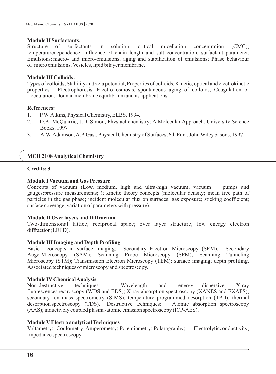#### **Module II Surfactants:**

Structure of surfactants in solution; critical micellation concentration (CMC); temperaturedependence; influence of chain length and salt concentration; surfactant parameter. Emulsions: macro- and micro-emulsions; aging and stabilization of emulsions; Phase behaviour of micro emulsions. Vesicles, lipid bilayer membrane.

#### **Module III Colloids:**

Types of colloids, Stability and zeta potential, Properties of colloids, Kinetic, optical and electrokinetic properties. Electrophoresis, Electro osmosis, spontaneous aging of colloids, Coagulation or flocculation, Donnan membrane equilibrium and its applications.

#### **References:**

- 1. P.W. Atkins, Physical Chemistry, ELBS, 1994.
- 2. D.A. McQuarrie, J.D. Simon, Physiacl chemistry: A Molecular Approach, University Science Books, 1997
- 3. A.W. Adamson, A.P. Gast, Physical Chemistry of Surfaces, 6th Edn., John Wiley & sons, 1997.

#### **MCH 2108 Analytical Chemistry**

#### **Credits: 3**

#### **Module I Vacuum and Gas Pressure**

Concepts of vacuum (Low, medium, high and ultra-high vacuum; vacuum pumps and gauges;pressure measurements; ); kinetic theory concepts (molecular density; mean free path of particles in the gas phase; incident molecular flux on surfaces; gas exposure; sticking coefficient; surface coverage; variation of parameters with pressure).

#### **Module II Over layers and Diffraction**

Two-dimensional lattice; reciprocal space; over layer structure; low energy electron diffraction(LEED).

#### **Module III Imaging and Depth Profiling**

Basic concepts in surface imaging; Secondary Electron Microscopy (SEM); Secondary AugerMicroscopy (SAM); Scanning Probe Microscopy (SPM); Scanning Tunneling Microscopy (STM); Transmission Electron Microscopy (TEM); surface imaging; depth profiling. Associated techniques of microscopy and spectroscopy.

#### **Module IVChemical Analysis**

Non-destructive techniques: Wavelength and energy dispersive X-ray fluorescencespectroscopy (WDS and EDS); X-ray absorption spectroscopy (XANES and EXAFS); secondary ion mass spectrometry (SIMS); temperature programmed desorption (TPD); thermal desorption spectroscopy (TDS). Destructive techniques: Atomic absorption spectroscopy (AAS); inductively coupled plasma-atomic emission spectroscopy (ICP-AES).

#### **Module VElectro analytical Techniques**

Voltametry; Coulometry; Amperometry; Potentiometry; Polarography; Electrolyticconductivity; Impedance spectroscopy.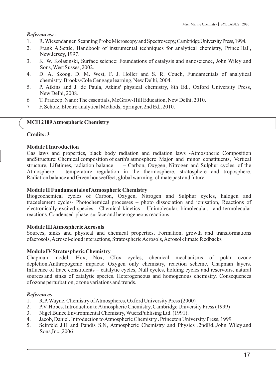### *References: -*

- 1. R. Wiesendanger, Scanning Probe Microscopy and Spectroscopy, Cambridge University Press, 1994.
- 2. Frank A.Settle, Handbook of instrumental techniques for analytical chemistry, Prince Hall, New Jersey, 1997.
- 3. K. W. Kolasinski, Surface science: Foundations of catalysis and nanoscience, John Wiley and Sons, West Susses, 2002.
- 4. D. A. Skoog, D. M. West, F. J. Holler and S. R. Couch, Fundamentals of analytical chemistry. Brooks/Cole Cengage learning, New Delhi, 2004.
- 5. P. Atkins and J. de Paula, Atkins' physical chemistry, 8th Ed., Oxford University Press, New Delhi, 2008.
- 6 T. Pradeep, Nano: The essentials, McGraw-Hill Education, New Delhi, 2010.
- 7 F. Scholz, Electro analytical Methods, Springer, 2nd Ed., 2010.

### **MCH 2109 Atmospheric Chemistry**

### **Credits: 3**

#### **Module I Introduction**

Gas laws and properties, black body radiation and radiation laws -Atmospheric Composition andStructure: Chemical composition of earth's atmosphere Major and minor constituents, Vertical structure, Lifetimes, radiation balance – Carbon, Oxygen, Nitrogen and Sulphur cycles. of the Atmosphere – temperature regulation in the thermosphere, stratosphere and troposphere. Radiation balance and Green houseeffect, global warming- climate past and future.

#### **Module II Fundamentals of Atmospheric Chemistry**

Biogeochemical cycles of Carbon, Oxygen, Nitrogen and Sulphur cycles, halogen and traceelement cycles- Photochemical processes – photo dissociation and ionisation, Reactions of electronically excited species, Chemical kinetics – Unimolecular, bimolecular, and termolecular reactions. Condensed-phase, surface and heterogeneous reactions.

### **Module III Atmospheric Aerosols**

Sources, sinks and physical and chemical properties, Formation, growth and transformations ofaerosols, Aerosol-cloud interactions, Stratospheric Aerosols, Aerosol climate feedbacks

### **Module IVStratospheric Chemistry**

Chapman model, Hox, Nox, CIox cycles, chemical mechanisms of polar ozone depletion,Anthropogenic impacts: Oxygen only chemistry, reaction scheme, Chapman layers. Influence of trace constituents – catalytic cycles, Null cycles, holding cycles and reservoirs, natural sources and sinks of catalytic species. Heterogeneous and homogenous chemistry. Consequences of ozone perturbation, ozone variations and trends.

- 1. R.P. Wayne. Chemistry of Atmospheres, Oxford University Press (2000)
- 2. P.V. Hobes. Introduction to Atmospheric Chemistry, Cambridge University Press (1999)
- 3. Nigel Bunce Environmental Chemistry, WuerzPublising Ltd. (1991).
- 4. Jacob, Daniel. Introduction to Atmospheric Chemistry . Princeton University Press, 1999
- 5. Seinfeld J.H and Pandis S.N, Atmospheric Chemistry and Physics ,2ndEd.,John Wiley and Sons,Inc.,2006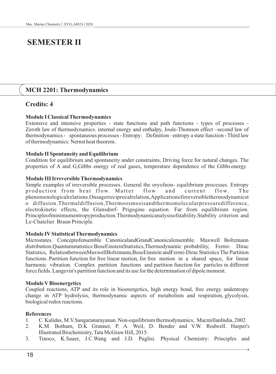# **SEMESTER II**

# **MCH 2201: Thermodynamics**

# **Credits: 4**

#### **Module I Classical Thermodynamics**

Extensive and intensive properties - state functions and path functions - types of processes - Zeroth law of thermodynamics. internal energy and enthalpy, Joule-Thomson effect –second law of thermodynamics - spontaneous processes - Entropy: Definition –entropy a state function - Third law of thermodynamics: Nernst heat theorem.

#### **Module II Spontaneity and Equilibrium**

Condition for equilibrium and spontaneity under constraints, Driving force for natural changes. The properties of A and G,Gibbs energy of real gases, temperature dependence of the Gibbs energy

#### **Module III Irreversible Thermodynamics**

Simple examples of irreversible processes. General the oryofnon- equilibrium processes. Entropy production from heat flow. Matter flow and current flow. The phenomenologicalrelations.Onsagerreciprocalrelation,Applicationofirreversiblethermodynamicst o diffusion.Thermaldiffusion,Thermoosmosisandthermomolecularpressuredifference, electrokinetic effects, the Glansdorf- Prigogine equation. Far from equilibrium region. Principleofminimumentropyproduction.Thermodynamicanalysisofstability.Stability criterion and Le-Chatelier Braun Principle.

#### **Module IVStatistical Thermodynamics**

Microstates. Conceptofensemble CanonicalandGrandCanonicalensemble. Maxwell Boltzmann distribution.Quantumstatistics:BoseEinsteinStatistics,Thermodynamic probability, Fermi- Dirac Statistics, RelationbetweenMaxwellBoltzmann,BoseEinstein andFermi-Dirac Statistics The Partition functions. Partition function for free linear motion, for free motion in a shared space, for linear harmonic vibration. Complex partition functions and partition function for particles in different force fields. Langevin's partition function and its use for the determination of dipole moment.

#### **Module VBioenergetics**

Coupled reactions, ATP and its role in bioenergetics, high energy bond, free energy andentropy change in ATP hydrolysis, thermodynamic aspects of metabolism and respiration, glycolysis, biological redox reactions.

- 1. C. Kalidas, M.V.Sangaranarayanan. Non-equilibrium thermodynamics, MacmillanIndia, 2002
- 2. K.M. Botham, D.K Granner, P. A. Weil, D. Bender and V.W. Rodwell. Harper's Illustrated Biochemistry, Tata McGraw Hill, 2015.
- 3. Tinoco, K.Sauer, J.C.Wang and J.D. Puglisi. Physical Chemistry: Principles and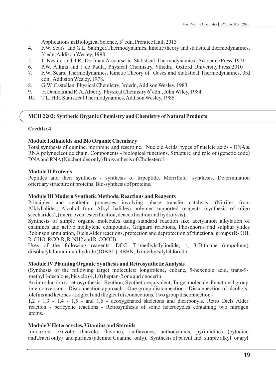Applications in Biological Science,  $5<sup>th</sup>$ edn, Prentice Hall, 2013

- 4. F.W. Sears and G.L. Salinger.Thermodynamics, kinetic theory and statistical thermodynamics,  $3<sup>rd</sup>$ edn, Addison Wesley, 1998.
- 5. J. Kestin, and J.R. Dorfman.A course in Statistical Thermodynamics, Academic Press, 1971.
- 6. P.W. Atkins and J de Paula. Physical Chemistry, 9thedn., Oxford University Press,2010
- 7. F.W. Sears. Thermodynamics, Kinetic Theory of Gases and Statistical Thermodynamics, 3rd edn, Addision Wesley, 1978.
- 8. G.W. Castellan. Physical Chemistry, 3rdedn, Addison Wesley, 1983
- 9. F. Daniels and R.A. Alberty. Physical Chemistry  $6^{\text{th}}$ edn., John Wiley, 1984<br>10. T.L. Hill. Statistical Thermodynamics. Addison Wesley. 1986.
- 10. T.L. Hill. Statistical Thermodynamics, Addison Wesley, 1986.

### **MCH 2202: Synthetic Organic Chemistry and Chemistry of Natural Products**

#### **Credits: 4**

#### **Module I Alkaloids and Bio Organic Chemistry**

Total synthesis of quinine, morphine and reserpine. Nucleic Acids: types of nucleic acids - DNA& RNA polynucleotide chain. Components - biological functions. Structure and role of (genetic code) DNAand RNA(Nucleotides only) Biosynthesis of Cholesterol

#### **Module II Proteins**

Peptides and their synthesis - synthesis of tripeptide. Merrifield synthesis, Determination oftertiary structure of proteins, Bio-synthesis of proteins.

#### **Module III Modern Synthetic Methods, Reactions and Reagents**

Principles and synthetic processes involving phase transfer catalysis, (Nitriles from Alklyhalides, Alcohol from Alkyl halides) polymer supported reagents (synthesis of oligo saccharides), (micro oven, esterification, deacetification and hydrolysis).

Synthesis of simple organic molecules using standard reaction like acetylation alkylation of enamines and active methylene compounds, Grignard reactions, Phosphorus and sulphur ylides Robinson annulation, Diels Alder reactions, protection and deprotection of functional groups (R- OH, R-CHO, RCO-R, R-NH2 and R-COOH).

Uses of the following reagents: DCC, Trimethylsilyliodide, 1, 3-Dithiane (umpolung), diisobutylaluminimumhydride (DIBAL), 9BBN, Trimethylsilylchlorode.

### **Module IVPlanning Organic Synthesis and Retrosynthetic Analysis**

(Synthesis of the following target molecules: longifolene, cubane, 5-hexenoic acid, trans-9 methyl I-decalone, bicyclo (4,1,0) heptan-2 one and onocerin.

An introduction to retrosynthesis - Synthon, Synthetic equivalent, Target molecule, Functional group interconversion - Disconnection approach - One group disconnection - Disconnection of alcohols, olefins and ketones - Logical and illogical disconnections, Two group disconnection -

1,2 - 1,3 - 1,4 - 1,5 - and 1,6 - deoxygenated skeletons and dicarbonyls. Retro Diels Alder reaction - pericyclic reactions - Retrosynthesis of some heterocycles containing two nitrogen atoms.

#### **Module VHeterocycles, Vitamins and Steroids**

Imidazole, oxazole, thiazole, flavones, isoflavones, anthocyanins, pyrimidines (cytocine andUracil only) and purines (adenine.Guanine only). Synthesis of parent and simple alkyl or aryl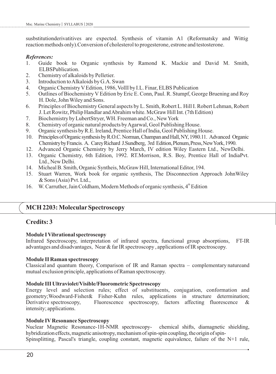susbstitutionderivatitives are expected. Synthesis of vitamin A1 (Reformatsky and Wittig reaction methods only).Conversion of cholesterol to progesterone, estrone and testosterone.

#### *References:*

- 1. Guide book to Organic synthesis by Ramond K. Mackie and David M. Smith, ELBSPublication.
- 2. Chemistry of alkaloids by Pelletier.
- 3. Introduction to Alkaloids by G.A. Swan
- 4. Organic Chemistry VEdition, 1986, VolII by I.L. Finar, ELBS Publication
- 5. Outlines of Biochemistry V Edition by Eric E. Conn, Paul. R. Stumpf, George Bruening and Roy H. Dole, John Wiley and Sons.
- 6. Principles of Biochemistry General aspects by L. Smith, Robert L. Hill I. Robert Lehman, Robert J. Let Rowitz, Philip Handlar and Abrahim white. McGraw Hill Int. (7th Edition)
- 7. Biochemistry by LubertStryer, WH. Freeman and Co., New York
- 8. Chemistry of organic natural products by Agarwal, Geol Publishing House.
- 9. Organic synthesis by R.E. Ireland, Prentice Hall of India, Geol Publishing House.
- 10. Principles of Organic synthesis by R.O.C. Norman, Champan and Hall, NY, 1980.11. Advanced Organic ChemistrybyFrancis. A. CareyRichard J.Sundberg, 3rd Edition,Plenum,Press,NewYork,1990.
- 12. Advanced Organic Chemistry by Jerry March, IV edition Wiley Eastern Ltd., NewDelhi.
- 13. Organic Chemistry, 6th Edition, 1992. RT.Morrison, R.S. Boy, Prentice Hall of IndiaPvt. Ltd., New Delhi.
- 14. Micheal B. Smith, Organic Syntheis, McGraw Hill, International Editor, 194.
- 15. Stuart Warren, Work book for organic synthesis, The Disconnection Approach JohnWiley & Sons (Asia) Pvt. Ltd.,
- 16. W. Carruther, Jain Coldham, Modern Methods of organic synthesis,  $4^{\text{th}}$  Edition

# **MCH 2203: MolecularSpectroscopy**

### **Credits: 3**

#### **Module I Vibrational spectroscopy**

Infrared Spectroscopy, interpretation of infrared spectra, functional group absorptions, FT-IR advantages and disadvantages, Near & far IR spectroscopy , applications of IR spectroscopy.

#### **Module II Raman spectroscopy**

Classical and quantum theory, Comparison of IR and Raman spectra – complementary natureand mutual exclusion principle, applications of Raman spectroscopy.

#### **Module III Ultraviolet/Visible/Fluorometric Spectroscopy**

Energy level and selection rules; effect of substituents, conjugation, conformation and geometry;Woodward-Fisher& Fisher-Kuhn rules, applications in structure determination; Derivative spectroscopy, Fluorescence spectroscopy, factors affecting fluorescence & intensity; applications.

#### **Module IVResonance Spectroscopy**

Nuclear Magnetic Resonance-1H-NMR spectroscopy- chemical shifts, diamagnetic shielding, hybridization effects, magnetic anisotropy, mechanism of spin-spin coupling, the origin of spin-Spinsplitting, Pascal's triangle, coupling constant, magnetic equivalence, failure of the N+1 rule,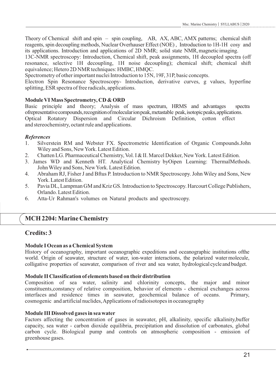Theory of Chemical shift and spin – spin coupling, AB, AX, ABC, AMX patterns; chemical shift reagents, spin decoupling methods, Nuclear Overhauser Effect (NOE), Introduction to 1H-1H cosy and its applications. Introduction and applications of 2D NMR; solid state NMR,magnetic imaging.

13C-NMR spectroscopy: Introduction, Chemical shift, peak assignments, 1H decoupled spectra (off resonance, selective 1H decoupling, 1H noise decoupling); chemical shift; chemical shift equivalence; Hetero 2D NMR techniques: HMBC, HMQC.

Spectrometry of other important nuclei Introduction to 15N, 19F, 31P, basic concepts.

Electron Spin Resonance Spectroscopy- Introduction, derivative curves, g values, hyperfine splitting, ESR spectra of free radicals, applications.

#### **Module VI Mass Spectrometry, CD & ORD**

Basic principle and theory; Analysis of mass spectrum, HRMS and advantages spectra ofrepresentative compounds, recognition of molecularion peak, metastable peak, isotopic peaks, applications. Optical Rotatory Dispersion and Circular Dichroism Definition, cotton effect and stereochemistry, octant rule and applications.

#### *References*

- 1. Silverstein RM and Webster FX. Spectrometric Identification of Organic Compounds.John Wiley and Sons, New York. Latest Edition.
- 2. Chatten LG. Pharmaceutical Chemistry, Vol. I & II. Marcel Dekker, New York. Latest Edition.
- 3. James WD and Kenneth HT. Analytical Chemistry byOipen Learning: ThermalMethods. John Wiley and Sons, New York. Latest Edition.
- 4. Abraham RJ, Fisher J and Bftus P. Introduction to NMR Spectroscopy. John Wiley and Sons, New York. Latest Edition.
- 5. Pavia DL, Lampman GM and Kriz GS. Introduction to Spectroscopy. Harcourt College Publishers, Orlando. Latest Edition.
- 6. Atta-Ur Rahman's volumes on Natural products and spectroscopy.

# **MCH 2204: Marine Chemistry**

### **Credits: 3**

#### **Module I Ocean as a Chemical System**

History of oceanography, important oceanographic expeditions and oceanographic institutions ofthe world. Origin of seawater, structure of water, ion-water interactions, the polarized water molecule, colligative properties of seawater, comparison of river and sea water, hydrological cycle andbudget.

#### **Module II Classification of elements based on their distribution**

Composition of sea water, salinity and chlorinity concepts, the major and minor constituents,constancy of relative composition, behavior of elements - chemical exchanges across interfaces and residence times in seawater, geochemical balance of oceans. Primary, cosmogenic and artificial nuclides, Applications of radioisotopes in oceanography

#### **Module III Dissolved gases in sea water**

Factors affecting the concentration of gases in seawater, pH, alkalinity, specific alkalinity,buffer capacity, sea water - carbon dioxide equilibria, precipitation and dissolution of carbonates, global carbon cycle. Biological pump and controls on atmospheric composition - emission of greenhouse gases.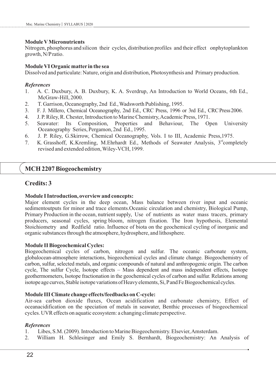#### **Module VMicronutrients**

Nitrogen, phosphorus and silicon their cycles, distribution profiles and their effect onphytoplankton growth, N/Pratio.

#### **Module VI Organic matter in the sea**

Dissolved and particulate: Nature, origin and distribution, Photosynthesis and Primary production.

#### *References*

- 1. A. C. Duxbury, A. B. Duxbury, K. A. Sverdrup, An Introduction to World Oceans, 6th Ed., McGraw-Hill, 2000.
- 2. T. Garrison, Oceanography, 2nd Ed., Wadsworth Publishing, 1995.
- 3. F. J. Millero, Chemical Oceanography, 2nd Ed., CRC Press, 1996 or 3rd Ed., CRCPress2006.
- 4. J. P. Riley, R. Chester, Introduction to Marine Chemistry, Academic Press, 1971.
- 5. Seawater: Its Composition, Properties and Behaviour, The Open University Oceanography Series, Pergamon, 2nd Ed., 1995.
- 6. J. P. Riley, G.Skirrow, Chemical Oceanography, Vols. I to III, Academic Press,1975.
- 7. K. Grasshoff, K.Kremling, M.Ehrhardt Ed., Methods of Seawater Analysis,  $3<sup>rd</sup>$ completely revised and extended edition, Wiley-VCH, 1999.

# **MCH 2207 Biogeochemistry**

# **Credits: 3**

#### **Module I Introduction, overview and concepts:**

Major element cycles in the deep ocean, Mass balance between river input and oceanic sedimentoutputs for minor and trace elements.Oceanic circulation and chemistry, Biological Pump, Primary Production in the ocean, nutrient supply, Use of nutrients as water mass tracers, primary producers, seasonal cycles, spring bloom, nitrogen fixation. The Iron hypothesis, Elemental Stoichiometry and Redfield ratio. Influence of biota on the geochemical cycling of inorganic and organic substances through the atmosphere, hydrosphere, and lithosphere.

### **Module II Biogeochemical Cycles:**

Biogeochemical cycles of carbon, nitrogen and sulfur. The oceanic carbonate system, globalocean-atmosphere interactions, biogeochemical cycles and climate change. Biogeochemistry of carbon, sulfur, selected metals, and organic compounds of natural and anthropogenic origin. The carbon cycle, The sulfur Cycle, Isotope effects – Mass dependent and mass independent effects, Isotope geothermometers, Isotope fractionation in the geochemical cycles of carbon and sulfur. Relations among isotope age curves, Stable isotope variations of Heavy elements, Si, P and Fe Biogeochemical cycles.

### **Module III Climate change effects/feedbacks on C-cycle:**

Air-sea carbon dioxide fluxes, Ocean acidification and carbonate chemistry, Effect of oceanacidification on the speciation of metals in seawater, Benthic processes of biogeochemical cycles. UVR effects on aquatic ecosystem: a changing climate perspective.

- 1. Libes, S.M. (2009). Introduction to Marine Biogeochemistry. Elsevier, Amsterdam.
- 2. William H. Schlesinger and Emily S. Bernhardt, Biogeochemistry: An Analysis of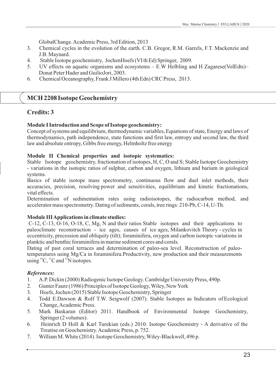GlobalChange. Academic Press, 3rd Edition, 2013

- 3. Chemical cycles in the evolution of the earth. C.B. Gregor, R.M. Garrels, F.T. Mackenzie and J.B. Maynard.
- 4. Stable Isotope geochemistry, JochenHoefs (VI th Ed) Springer, 2009.
- 5. UV effects on aquatic organisms and ecosystems E.W Helbling and H Zagarese(VolEdts)– Donat Peter Hader and GuilioJori, 2003.
- 6. Chemical Oceanography, Frank J Millero (4th Edn) CRC Press, 2013.

# **MCH 2208 Isotope Geochemistry**

# **Credits: 3**

# **Module I Introduction and Scope of Isotope geochemistry:**

Concept of systems and equilibrium, thermodynamic variables, Equations of state, Energy and laws of thermodynamics, path independence, state functions and first law, entropy and second law, the third law and absolute entropy, Gibbs free energy, Helmholtz free energy

## **Module II Chemical properties and isotopic systematics:**

Stable Isotope geochemistry, fractionation of isotopes, H, C, O and S; Stable Isotope Geochemistry - variations in the isotopic ratios of sulphur, carbon and oxygen, lithium and barium in geological systems.

Basics of stable isotope mass spectrometry, continuous flow and duel inlet methods, their accuracies, precision, resolving power and sensitivities, equilibrium and kinetic fractionations, vital effects.

Determination of sedimentation rates using radioisotopes, the radiocarbon method, and accelerator mass spectrometry. Dating of sediments, corals, tree rings: 210-Pb, C-14, U-Th.

# **Module III Applications in climate studies:**

C-12, C-13, O-16, O-18, C, Mg, N and their ratios Stable isotopes and their applications to paleoclimate reconstruction - ice ages, causes of ice ages, Milankovitch Theory - cycles in eccentricity, precession and obliquity (tilt); foraminifera, oxygen and carbon isotopic variations in planktic and benthic foraminifera in marine sediment cores and corals.

Dating of past coral terraces and determination of paleo-sea level. Reconstruction of paleotemperatures using Mg/Ca in foraminifera.Productivity, new production and their measurements using  ${}^{14}C$ ,  ${}^{13}C$  and  ${}^{15}N$  isotopes.

- 1. A.P. Dickin (2000) Radiogenic Isotope Geology. Cambridge University Press, 490p.
- 2. Gunter Faure (1986) Principles of Isotope Geology, Wiley, New York
- 3. Hoefs, Jochen (2015) Stable Isotope Geochemistry, Springer
- 4. Todd E.Dawson & Rolf T.W. Seigwolf (2007). Stable Isotopes as Indicators of Ecological Change, Academic Press.
- 5. Mark Baskaran (Editor) 2011. Handbook of Environmental Isotope Geochemistry, Springer (2 volumes).
- 6. Heinrich D Holl & Karl Turekian (eds.) 2010. Isotope Geochemistry A derivative of the Treatise on Geochemistry. Academic Press, p. 752.
- 7. William M. White (2014). Isotope Geochemistry, Wiley-Blackwell, 496 p.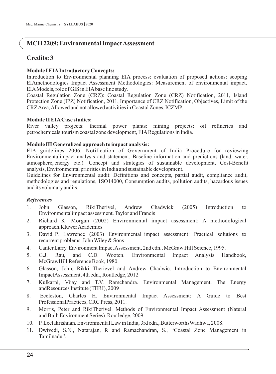# **MCH 2209: Environmental Impact Assessment**

# **Credits: 3**

#### **Module I EIAIntroductory Concepts:**

Introduction to Environmental planning EIA process: evaluation of proposed actions: scoping EIAmethodologies Impact Assessment Methodologies: Measurement of environmental impact, EIAModels, role of GIS in EIAbase line study.

Coastal Regulation Zone (CRZ): Coastal Regulation Zone (CRZ) Notification, 2011, Island Protection Zone (IPZ) Notification, 2011, Importance of CRZ Notification, Objectives, Limit of the CRZ Area, Allowed and not allowed activities in Coastal Zones, ICZMP.

#### **Module II EIACase studies:**

River valley projects: thermal power plants: mining projects: oil refineries and petrochemicals:tourism coastal zone development, EIARegulations in India.

#### **Module III Generalized approach to impact analysis:**

EIA guidelines 2006, Notification of Government of India Procedure for reviewing Environmentalimpact analysis and statement. Baseline information and predictions (land, water, atmosphere, energy etc.). Concept and strategies of sustainable development, Cost-Benefit analysis, Environmental priorities in India and sustainable development.

Guidelines for Environmental audit: Definitions and concepts, partial audit, compliance audit, methodologies and regulations, 1SO14000, Consumption audits, pollution audits, hazardous issues and its voluntary audits.

- 1. John Glasson, RikiTherivel, Andrew Chadwick (2005) Introduction to Environmentalimpact assessment. Taylor and Francis
- 2. Richard K. Morgan (2002) Environmental impact assessment: A methodological approach.Kluwer Academics
- 3. David P. Lawrence (2003) Environmental impact assessment: Practical solutions to recurrent problems. John Wiley & Sons
- 4. Canter Larry. Environment Impact Assessment, 2nd edn., McGraw Hill Science, 1995.
- 5. G.J. Rau, and C.D. Wooten. Environmental Impact Analysis Handbook, McGrawHill.Reference Book, 1980.
- 6. Glasson, John, Rikki Therievel and Andrew Chadwic. Introduction to Environmental ImpactAssessment, 4th edn., Routledge, 2012
- 7. Kulkarni, Vijay and T.V. Ramchandra. Environmental Management. The Energy andResources Institute (TERI), 2009
- 8. Eccleston, Charles H. Environmental Impact Assessment: A Guide to Best ProfessionalPractices, CRC Press, 2011.
- 9. Morris, Peter and RikiTherivel. Methods of Environmental Impact Assessment (Natural and Built Environment Series). Routledge, 2009.
- 10. P. Leelakrishnan. Environmental Law in India, 3rd edn., ButterworthsWadhwa, 2008.
- 11. Dwivedi, S.N., Natarajan, R and Ramachandran, S., "Coastal Zone Management in Tamilnadu".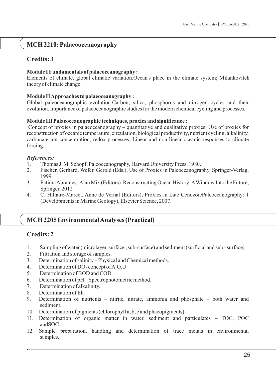# **MCH 2210: Palaeooceanography**

# **Credits: 3**

#### **Module I Fundamentals of palaeoceanography :**

Elements of climate, global climatic variation.Ocean's place in the climate system; Milankovitch theory of climate change.

#### **Module II Approaches to palaeoceanography :**

Global paleoceanographic evolution.Carbon, silica, phosphorus and nitrogen cycles and their evolution. Importance of palaeoceanographic studies for the modern chemical cycling and processes.

#### **Module III Palaeoceanographic techniques, proxies and significance :**

Concept of proxies in palaeoceanography – quantitative and qualitative proxies; Use of proxies for reconstruction of oceanic temperature, circulation, biological productivity, nutrient cycling, alkalinity, carbonate ion concentration, redox processes; Linear and non-linear oceanic responses to climate forcing.

#### *References:*

- 1. Thomas J. M. Schopf, Paleoceanography, Harvard University Press, 1980.
- 2. Fischer, Gerhard, Wefer, Gerold (Eds.), Use of Proxies in Paleoceanography, Springer-Verlag, 1999.
- 3. Fatima Abrantes , Alan Mix (Editors). Reconstructing Ocean History: AWindow Into the Future, Springer, 2012
- 4. C. Hillaire-Marcel, Anne de Vernal (Editors), Proxies in Late CenozoicPaleoceanography: 1 (Developments in Marine Geology), Elsevier Science, 2007.

# **MCH 2205 Environmental Analyses (Practical)**

# **Credits: 2**

- 1. Sampling of water (microlayer, surface , sub-surface) and sediment (surficial and sub surface)
- 2. Filtration and storage of samples.
- 3. Determination of salinity Physical and Chemical methods.
- 4. Determination of DO- concept of A.O.U
- 5. Determination of BOD and COD.
- 6. Determination of pH Spectrophotometric method.
- 7. Determination of alkalinity.
- 8. Determination of Eh.
- 9. Determination of nutrients nitrite, nitrate, ammonia and phosphate both water and sediment.
- 10. Determination of pigments (chlorophyll a, b, c and phaeopigments).
- 11. Determination of organic matter in water, sediment and particulates TOC, POC andSOC.
- 12. Sample preparation, handling and determination of trace metals in environmental samples.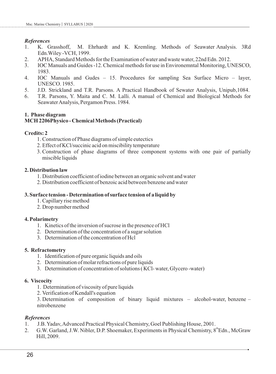- *References*<br>1. K. Grasshoff. 1. K. Grasshoff, M. Ehrhardt and K. Kremling. Methods of Seawater Analysis. 3Rd Edn.Wiley -VCH, 1999.
- 2. APHA, Standard Methods for the Examination of water and waste water, 22nd Edn. 2012.
- 3. IOC Manuals and Guides -12. Chemical methods for use in Environemntal Monitoring, UNESCO, 1983.
- 4. IOC Manuals and Gudes 15. Procedures for sampling Sea Surface Micro layer, UNESCO. 1985.
- 5. J.D. Strickland and T.R. Parsons. A Practical Handbook of Sewater Analysis, Unipub,1084.
- 6. T.R. Parsons, Y. Maita and C. M. Lalli. A manual of Chemical and Biological Methods for Seawater Analysis, Pergamon Press. 1984.

#### **1. Phase diagram MCH 2206Physico - Chemical Methods (Practical)**

#### **Credits: 2**

- 1. Construction of Phase diagrams of simple eutectics
- 2. Effect of KCl/succinic acid on miscibility temperature
- 3. Construction of phase diagrams of three component systems with one pair of partially miscible liquids

#### **2. Distribution law**

- 1. Distribution coefficient of iodine between an organic solvent and water
- 2. Distribution coefficient of benzoic acid between benzene and water

#### **3. Surface tension - Determination of surface tension of a liquid by**

- 1. Capillary rise method
- 2. Drop number method

#### **4. Polarimetry**

- 1. Kinetics of the inversion of sucrose in the presence of HCl
- 2. Determination of the concentration of a sugar solution
- 3. Determination of the concentration of Hcl

#### **5. Refractometry**

- 1. Identification of pure organic liquids and oils
- 2. Determination of molar refractions of pure liquids
- 3. Determination of concentration of solutions ( KCl- water, Glycero -water)

#### **6. Viscocity**

- 1. Determination of viscosity of pure liquids
- 2. Verification of Kendall's equation

3. Determination of composition of binary liquid mixtures – alcohol-water, benzene – nitrobenzene

- 1. J.B. Yadav, Advanced Practical Physical Chemistry, Goel Publishing House, 2001.
- 2. G.W. Garland, J.W. Nibler, D.P. Shoemaker, Experiments in Physical Chemistry, 8<sup>th</sup> Edn., McGraw Hill, 2009.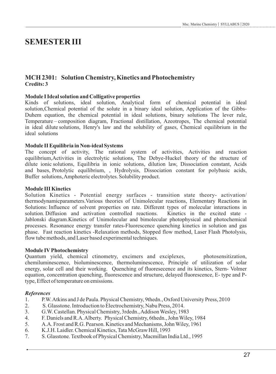# **SEMESTER III**

## **MCH 2301: Solution Chemistry, Kinetics and Photochemistry Credits: 3**

#### **Module I Ideal solution and Colligative properties**

Kinds of solutions, ideal solution, Analytical form of chemical potential in ideal solution,Chemical potential of the solute in a binary ideal solution, Application of the Gibbs-Duhem equation, the chemical potential in ideal solutions, binary solutions The lever rule, Temperature – composition diagram, Fractional distillation, Azeotropes, The chemical potential in ideal dilute solutions, Henry's law and the solubility of gases, Chemical equilibrium in the ideal solutions

#### **Module II Equilibria in Non-ideal Systems**

The concept of activity, The rational system of activities, Activities and reaction equilibrium,Activities in electrolytic solutions, The Debye-Huckel theory of the structure of dilute ionic solutions, Equilibria in ionic solutions, dilution law, Dissociation constant, Acids and bases, Protolytic equilibrium, , Hydrolysis, Dissociation constant for polybasic acids, Buffer solutions, Amphoteric electrolytes. Solubility product.

#### **Module III Kinetics**

Solution Kinetics - Potential energy surfaces - transition state theory- activation/ thermodynamicparameters.Various theories of Unimolecular reactions, Elementary Reactions in Solutions: Influence of solvent properties on rate. Different types of molecular interactions in solution. Diffusion and activation controlled reactions. Kinetics in the excited state - Jablonski diagram.Kinetics of Unimolecular and bimolecular photophysical and photochemical processes. Resonance energy transfer rates-Fluorescence quenching kinetics in solution and gas phase. Fast reaction kinetics -Relaxation methods, Stopped flow method, Laser Flash Photolysis, flow tube methods, and Laser based experimental techniques.

#### **Module IVPhotochemistry**

Quantum yield, chemical ctinometry, excimers and exciplexes, photosensitization, chemiluminescence, bioluminescence, thermoluminescence, Principle of utilization of solar energy, solar cell and their working. Quenching of fluoresecence and its kinetics, Stern- Volmer equation, concentration quenching, fluorescence and structure, delayed fluorescence, E- type and Ptype, Effect of temperature on emissions.

- 1. P.W. Atkins and J de Paula. Physical Chemistry, 9thedn., Oxford University Press, 2010
- 2. S. Glasstone. Introduction to Electrochemistry, Nabu Press, 2014.
- 3. G.W. Castellan. Physical Chemistry, 3rdedn., Addison Wesley, 1983
- 4. F. Daniels and R.A. Alberty. Physical Chemistry, 6thedn., John Wiley, 1984
- 5. A.A. Frost and R.G. Pearson. Kinetics and Mechanisms, John Wiley, 1961
- 6. K.J.H. Laidler. Chemical Kinetics, Tata McGraw Hill, 1993
- 7. S. Glasstone. Textbook of Physical Chemistry, Macmillan India Ltd., 1995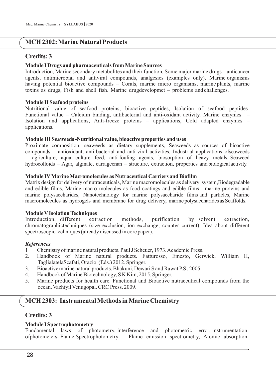# **MCH 2302: Marine Natural Products**

# **Credits: 3**

#### **Module I Drugs and pharmaceuticals from Marine Sources**

Introduction, Marine secondary metabolites and their function, Some major marine drugs – anticancer agents, antimicrobial and antiviral compounds, analgesics (examples only), Marine organisms having potential bioactive compounds – Corals, marine micro organisms, marine plants, marine toxins as drugs, Fish and shell fish. Marine drugdevelopmet – problems and challenges.

#### **Module II Seafood proteins**

Nutritional value of seafood proteins, bioactive peptides, Isolation of seafood peptides-Functional value – Calcium binding, antibacterial and anti-oxidant activity. Marine enzymes – Isolation and applications, Anti-freeze proteins – applications, Cold adapted enzymes – applications.

#### **Module III Seaweeds -Nutritional value, bioactive properties and uses**

Proximate composition, seaweeds as dietary supplements, Seaweeds as sources of bioactive compounds – antioxidant, anti-bacterial and anti-viral activities, Industrial applications ofseaweeds – agriculture, aqua culture feed, anti-fouling agents, biosorption of heavy metals. Seaweed hydrocolloids – Agar, alginate, carrageenan – structure, extraction, properties andbiological activity.

#### **Module IVMarine Macromolecules as Nutraceutical Carriers and Biofilm**

Matrix design for delivery of nutraceuticals, Marine macromolecules as delivery system,Biodegradable and edible films, Marine macro molecules as food coatings and edible films –marine proteins and marine polysaccharides, Nanotechnology for marine polysaccharide films and particles, Marine macromolecules as hydrogels and membrane for drug delivery, marinepolysaccharides as Scaffolds.

#### **Module VIsolation Techniques**

Introduction, different extraction methods, purification by solvent extraction, chromatographictechniques (size exclusion, ion exchange, counter current), Idea about different spectroscopic techniques (already discussed in core paper).

#### *References*

- 1 Chemistry of marine natural products. Paul J Scheuer, 1973. Academic Press.
- 2. Handbook of Marine natural products. Fatturosso, Emesto, Gerwick, William H, TaglialatelaScafati, Orazio (Eds.) 2012. Springer.
- 3. Bioactive marine natural products. Bhakuni, Dewari S and Rawat P.S . 2005.
- 4. Handbook of Marine Biotechnology, S K Kim, 2015. Springer.
- 5. Marine products for health care. Functional and Bioactive nutraceutical compounds from the ocean. Vazhiyil Venugopal. CRC Press. 2009.

# **MCH 2303: Instrumental Methods in Marine Chemistry**

### **Credits: 3**

#### **Module I Spectrophotometry**

Fundamental laws of photometry, interference and photometric error, instrumentation ofphotometers**.** Flame Spectrophotometry – Flame emission spectrometry, Atomic absorption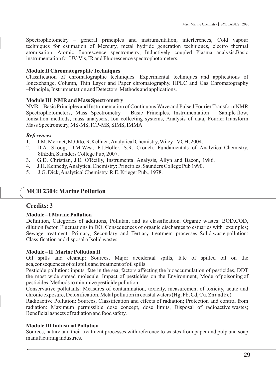Spectrophotometry – general principles and instrumentation, interferences, Cold vapour techniques for estimation of Mercury, metal hydride generation techniques, electro thermal atomisation. Atomic fluorescence spectrometry, Inductively coupled Plasma analysis**.**Basic instrumentation for UV-Vis, IR and Fluorescence spectrophotometers.

#### **Module II Chromatographic Techniques**

Classification of chromatographic techniques. Experimental techniques and applications of Ionexchange, Column, Thin Layer and Paper chromatography. HPLC and Gas Chromatography –Principle, Instrumentation and Detectors. Methods and applications.

#### **Module III NMR and Mass Spectrometry**

NMR – Basic Principles and Instrumentation of Continuous Wave and Pulsed Fourier TransformNMR Spectrophotometers, Mass Spectrometry – Basic Principles, Instrumentation – Sample flow, Ionisation methods, mass analysers, Ion collecting systems, Analysis of data, Fourier Transform Mass Spectrometry, MS-MS, ICP-MS, SIMS, IMMA.

#### *References*

- 1. J.M. Mermet, M.Otto, R.Kellner , Analytical Chemistry, Wiley –VCH, 2004.
- 2. D.A. Skoog, D.M.West, F.J.Holler, S.R. Crouch, Fundamentals of Analytical Chemistry, 8thEdn, Saunders College Pub, 2007.
- 3. G.D. Christian, J.E. O'Reilly, Instrumental Analysis, Allyn and Bacon, 1986.
- 4. J.H. Kennedy, Analytical Chemistry: Principles, Saunders College Pub 1990.
- 5. J.G. Dick, Analytical Chemistry, R.E. Krieger Pub., 1978.

# **MCH 2304: Marine Pollution**

### **Credits: 3**

#### **Module – I Marine Pollution**

Definition, Categories of additions, Pollutant and its classification. Organic wastes: BOD,COD, dilution factor, Fluctuations in DO, Consequences of organic discharges to estuaries with examples; Sewage treatment: Primary, Secondary and Tertiary treatment processes. Solid waste pollution: Classification and disposal of solid wastes.

#### **Module – II Marine Pollution II**

Oil spills and cleanup: Sources, Major accidental spills, fate of spilled oil on the sea,consequences of oil spills and treatment of oil spills.

Pesticide pollution: inputs, fate in the sea, factors affecting the bioaccumulation of pesticides, DDT the most wide spread molecule, Impact of pesticides on the Environment, Mode of poisoning of pesticides, Methods to minimize pesticide pollution.

Conservative pollutants: Measures of contamination, toxicity, measurement of toxicity, acute and chronic exposure, Detoxification. Metal pollution in coastal waters (Hg, Pb, Cd, Cu, Zn and Fe).

Radioactive Pollution: Sources, Classification and effects of radiation; Protection and control from radiation: Maximum permissible dose concept, dose limits, Disposal of radioactive wastes; Beneficial aspects of radiation and food safety.

#### **Module III Industrial Pollution**

Sources, nature and their treatment processes with reference to wastes from paper and pulp and soap manufacturing industries.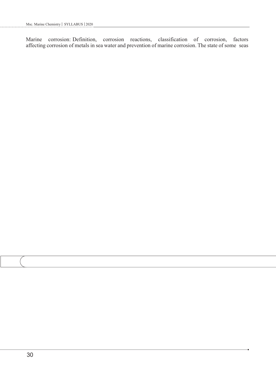Marine corrosion: Definition, corrosion reactions, classification of corrosion, factors affecting corrosion of metals in sea water and prevention of marine corrosion. The state of some seas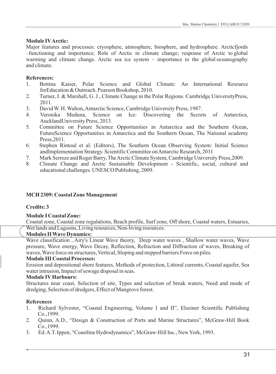## **Module IVArctic:**

Major features and processes: cryosphere, atmosphere, biosphere, and hydrosphere. Arcticfjords –functioning and importance; Role of Arctic in climate change; response of Arctic to global warming and climate change. Arctic sea ice system – importance to the global oceanography and climate.

# **References:**

- 1. Bettina Kaiser, Polar Science and Global Climate: An International Resource forEducation & Outreach. Pearson Bookshop, 2010.
- 2. Turner, J. & Marshall, G. J., Climate Change in the Polar Regions. Cambridge UniversityPress, 2011.
- 3. David W. H. Walton, Antarctic Science, Cambridge University Press, 1987.
- 4. Veronika Meduna, Science on Ice: Discovering the Secrets of Antarctica, AucklandUniversity Press, 2013.
- 5. Committee on Future Science Opportunities in Antarctica and the Southern Ocean, FutureScience Opportunities in Antarctica and the Southern Ocean, The National academy Press,2011.
- 6. Stephen Rintoul et al. (Editors), The Southern Ocean Observing System: Initial Science andImplementation Strategy. Scientific Committee on Antarctic Research, 2011
- 7. Mark Serreze and Roger Barry, The Arctic Climate System, Cambridge University Press,2009.
- 8. Climate Change and Arctic Sustainable Development Scientific, social, cultural and educational challenges. UNESCO Publishing, 2009.

# **MCH 2309: Coastal Zone Management**

### **Credits: 3**

### **Module I Coastal Zone:**

Coastal zone, Coastal zone regulations, Beach profile, Surf zone, Off shore, Coastal waters, Estuaries, Wet lands and Lagoons, Living resources, Non-living resources.

### **Modules II Wave Dynamics:**

Wave classification , Airy's Linear Wave theory, Deep water waves , Shallow water waves, Wave pressure, Wave energy, Wave Decay, Reflection, Refraction and Diffraction of waves, Breaking of waves, Wave force on structures, Vertical, Sloping and stepped barriers Force on piles.

### **Module III Coastal Processes:**

Erosion and depositional shore features, Methods of protection, Littoral currents, Coastal aquifer, Sea water intrusion, Impact of sewage disposal in seas.

### **Module IVHarbours:**

Structures near coast, Selection of site, Types and selection of break waters, Need and mode of dredging, Selection of dredgers, Effect of Mangrove forest.

- 1. Richard Sylvester, "Coastal Engineering, Volume I and II", Elseiner Scientific Publishing Co.,1999.
- 2. Quinn, A.D., "Design & Construction of Ports and Marine Structures", McGraw-Hill Book Co.,1999.
- 3. Ed. A.T. Ippen, "Coastline Hydrodynamics", McGraw-Hill Inc., New York, 1993.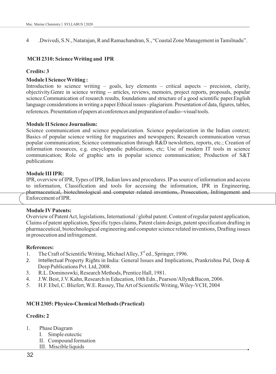4 .Dwivedi, S.N., Natarajan, R and Ramachandran, S., "Coastal Zone Management in Tamilnadu".

#### **MCH 2310: Science Writing and IPR**

#### **Credits: 3**

#### **Module I Science Writing :**

Introduction to science writing – goals, key elements – critical aspects – precision, clarity, objectivity.Genre in science writing -- articles, reviews, memoirs, project reports, proposals, popular science.Communication of research results, foundations and structure of a good scientific paper.English language considerations in writing a paper. Ethical issues - plagiarism. Presentation of data, figures, tables, references. Presentation of papers at conferences and preparation of audio--visual tools.

#### **Module II Science Journalism:**

Science communication and science popularization. Science popularization in the Indian context; Basics of popular science writing for magazines and newspapers; Research communication versus popular communication; Science communication through R&D newsletters, reports, etc.; Creation of information resources, e.g. encyclopaedic publications, etc; Use of modern IT tools in science communication; Role of graphic arts in popular science communication; Production of S&T publications

#### **Module III IPR:**

IPR, overview of IPR, Types of IPR, Indian laws and procedures. IPas source of information and access to information, Classification and tools for accessing the information, IPR in Engineering, pharmaceutical, biotechnological and computer related inventions, Prosecution, Infringement and Enforcement of IPR.

#### **Module IVPatents:**

Overview of Patent Act, legislations, International / global patent. Content of regular patent application, Claims of patent application, Specific types claims, Patent claim design, patent specification drafting in pharmaceutical, biotechnological engineering and computer science related inventions, Drafting issues in prosecution and infringement.

#### **References:**

- 1. The Craft of Scientific Writing, Michael Alley,  $3<sup>rd</sup>$  ed., Springer, 1996.
- 2. Intellectual Property Rights in India: General Issues and Implications, Prankrishna Pal, Deep & Deep Publications Pvt. Ltd, 2008.
- 3. R.L. Dominoswki, Research Methods, Prentice Hall, 1981.
- 4. J.W. Best, J.V. Kahn, Research in Education, 10th Edn., Pearson/Allyn&Bacon, 2006.
- 5. H.F. Ebel, C. Bliefert, W.E. Russey, The Art of Scientific Writing, Wiley-VCH, 2004

#### **MCH 2305: Physico-Chemical Methods (Practical)**

#### **Credits: 2**

- 1. Phase Diagram
	- I. Simple eutectic
	- II. Compound formation
	- III. Miscible liquids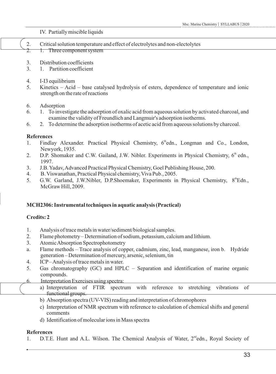IV. Partially miscible liquids

| Critical solution temperature and effect of electrolytes and non-electolytes |
|------------------------------------------------------------------------------|
| 1. Three component system                                                    |
| 3. Distribution coefficients<br>3. 1. Partition coefficient                  |

- 4. I-I3 equilibrium
- 5. Kinetics Acid base catalysed hydrolysis of esters, dependence of temperature and ionic strength on the rate of reactions
- 6. Adsorption
- 6. 1. To investigate the adsorption of oxalic acid from aqueous solution by activated charcoal, and examine the validity of Freundlich and Langmuir's adsorption isotherms.
- 6. 2. To determine the adsorption isotherms of acetic acid from aqueous solutions by charcoal.

## **References**

- 1. Findlay Alexander. Practical Physical Chemistry,  $6<sup>th</sup>$ edn., Longman and Co., London, Newyork, 1935.
- 2. D.P. Shomaker and C.W. Gailand, J.W. Nibler. Experiments in Physical Chemistry,  $6<sup>th</sup>$  edn., 1997.
- 3. J.B. Yadav, Advanced Practical Physical Chemistry, Goel Publishing House, 200.
- 4. B. Viswanathan, Practical Physical chemistry, Viva Pub., 2005.
- 5. G.W. Garland, J.W.Nibler, D.P.Shoemaker, Experiments in Physical Chemistry, 8<sup>th</sup>Edn., McGraw Hill, 2009.

# **MCH2306: Instrumental techniques in aquatic analysis (Practical)**

# **Credits: 2**

- 1. Analysis of trace metals in water/sediment/biological samples.
- 2. Flame photometry Determination of sodium, potassium, calcium and lithium.
- 3. Atomic Absorption Spectrophotometry
- a. Flame methods Trace analysis of copper, cadmium, zinc, lead, manganese, iron b. Hydride generation – Determination of mercury, arsenic, selenium, tin
- 4. ICP– Analysis of trace metals in water.
- 5. Gas chromatography (GC) and HPLC Separation and identification of marine organic compounds.
- 6. Interpretation Exercises using spectra:
	- a) Interpretation of FTIR spectrum with reference to stretching vibrations of functional groups.
		- b) Absorption spectra (UV-VIS) reading and interpretation of chromophores
		- c) Interpretation of NMR spectrum with reference to calculation of chemical shifts and general comments
		- d) Identification of molecular ions in Mass spectra

# **References**

1. D.T.E. Hunt and A.L. Wilson. The Chemical Analysis of Water,  $2<sup>nd</sup>$ edn., Royal Society of